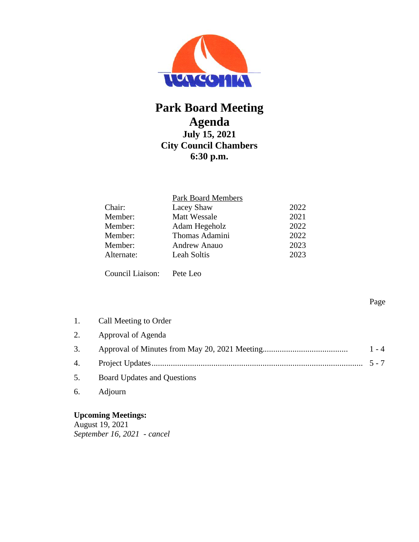

# **Park Board Meeting Agenda July 15, 2021 City Council Chambers 6:30 p.m.**

|            | Park Board Members  |      |
|------------|---------------------|------|
| Chair:     | Lacey Shaw          | 2022 |
| Member:    | <b>Matt Wessale</b> | 2021 |
| Member:    | Adam Hegeholz       | 2022 |
| Member:    | Thomas Adamini      | 2022 |
| Member:    | Andrew Anauo        | 2023 |
| Alternate: | <b>Leah Soltis</b>  | 2023 |
|            |                     |      |

Council Liaison: Pete Leo

1. Call Meeting to Order 2. Approval of Agenda 3. Approval of Minutes from May 20, 2021 Meeting........................................ 1 - 4 4. Project Updates................................................................................................... 5 - 7 5. Board Updates and Questions 6. Adjourn

**Upcoming Meetings:** 

August 19, 2021 *September 16, 2021 - cancel* Page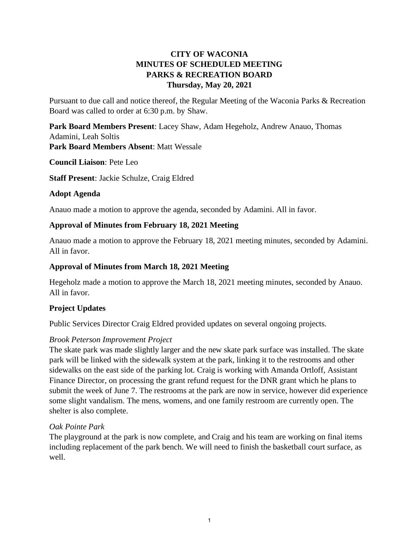## **CITY OF WACONIA MINUTES OF SCHEDULED MEETING PARKS & RECREATION BOARD Thursday, May 20, 2021**

Pursuant to due call and notice thereof, the Regular Meeting of the Waconia Parks & Recreation Board was called to order at 6:30 p.m. by Shaw.

**Park Board Members Present**: Lacey Shaw, Adam Hegeholz, Andrew Anauo, Thomas Adamini, Leah Soltis **Park Board Members Absent**: Matt Wessale

**Council Liaison**: Pete Leo

**Staff Present**: Jackie Schulze, Craig Eldred

#### **Adopt Agenda**

Anauo made a motion to approve the agenda, seconded by Adamini. All in favor.

#### **Approval of Minutes from February 18, 2021 Meeting**

Anauo made a motion to approve the February 18, 2021 meeting minutes, seconded by Adamini. All in favor.

#### **Approval of Minutes from March 18, 2021 Meeting**

Hegeholz made a motion to approve the March 18, 2021 meeting minutes, seconded by Anauo. All in favor.

#### **Project Updates**

Public Services Director Craig Eldred provided updates on several ongoing projects.

#### *Brook Peterson Improvement Project*

The skate park was made slightly larger and the new skate park surface was installed. The skate park will be linked with the sidewalk system at the park, linking it to the restrooms and other sidewalks on the east side of the parking lot. Craig is working with Amanda Ortloff, Assistant Finance Director, on processing the grant refund request for the DNR grant which he plans to submit the week of June 7. The restrooms at the park are now in service, however did experience some slight vandalism. The mens, womens, and one family restroom are currently open. The shelter is also complete.

#### *Oak Pointe Park*

The playground at the park is now complete, and Craig and his team are working on final items including replacement of the park bench. We will need to finish the basketball court surface, as well.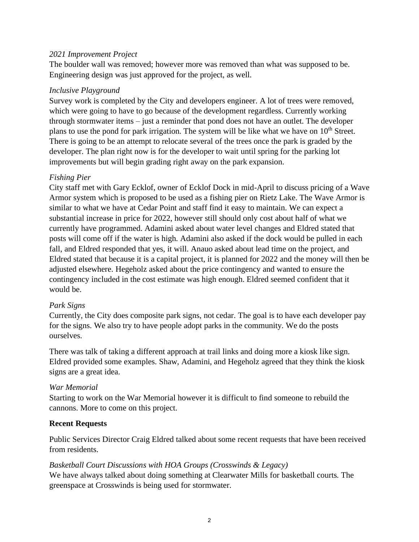#### *2021 Improvement Project*

The boulder wall was removed; however more was removed than what was supposed to be. Engineering design was just approved for the project, as well.

#### *Inclusive Playground*

Survey work is completed by the City and developers engineer. A lot of trees were removed, which were going to have to go because of the development regardless. Currently working through stormwater items – just a reminder that pond does not have an outlet. The developer plans to use the pond for park irrigation. The system will be like what we have on 10<sup>th</sup> Street. There is going to be an attempt to relocate several of the trees once the park is graded by the developer. The plan right now is for the developer to wait until spring for the parking lot improvements but will begin grading right away on the park expansion.

#### *Fishing Pier*

City staff met with Gary Ecklof, owner of Ecklof Dock in mid-April to discuss pricing of a Wave Armor system which is proposed to be used as a fishing pier on Rietz Lake. The Wave Armor is similar to what we have at Cedar Point and staff find it easy to maintain. We can expect a substantial increase in price for 2022, however still should only cost about half of what we currently have programmed. Adamini asked about water level changes and Eldred stated that posts will come off if the water is high. Adamini also asked if the dock would be pulled in each fall, and Eldred responded that yes, it will. Anauo asked about lead time on the project, and Eldred stated that because it is a capital project, it is planned for 2022 and the money will then be adjusted elsewhere. Hegeholz asked about the price contingency and wanted to ensure the contingency included in the cost estimate was high enough. Eldred seemed confident that it would be.

#### *Park Signs*

Currently, the City does composite park signs, not cedar. The goal is to have each developer pay for the signs. We also try to have people adopt parks in the community. We do the posts ourselves.

There was talk of taking a different approach at trail links and doing more a kiosk like sign. Eldred provided some examples. Shaw, Adamini, and Hegeholz agreed that they think the kiosk signs are a great idea.

#### *War Memorial*

Starting to work on the War Memorial however it is difficult to find someone to rebuild the cannons. More to come on this project.

#### **Recent Requests**

Public Services Director Craig Eldred talked about some recent requests that have been received from residents.

#### *Basketball Court Discussions with HOA Groups (Crosswinds & Legacy)*

We have always talked about doing something at Clearwater Mills for basketball courts. The greenspace at Crosswinds is being used for stormwater.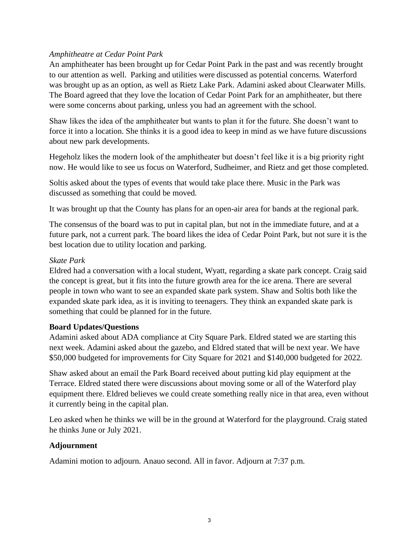#### *Amphitheatre at Cedar Point Park*

An amphitheater has been brought up for Cedar Point Park in the past and was recently brought to our attention as well. Parking and utilities were discussed as potential concerns. Waterford was brought up as an option, as well as Rietz Lake Park. Adamini asked about Clearwater Mills. The Board agreed that they love the location of Cedar Point Park for an amphitheater, but there were some concerns about parking, unless you had an agreement with the school.

Shaw likes the idea of the amphitheater but wants to plan it for the future. She doesn't want to force it into a location. She thinks it is a good idea to keep in mind as we have future discussions about new park developments.

Hegeholz likes the modern look of the amphitheater but doesn't feel like it is a big priority right now. He would like to see us focus on Waterford, Sudheimer, and Rietz and get those completed.

Soltis asked about the types of events that would take place there. Music in the Park was discussed as something that could be moved.

It was brought up that the County has plans for an open-air area for bands at the regional park.

The consensus of the board was to put in capital plan, but not in the immediate future, and at a future park, not a current park. The board likes the idea of Cedar Point Park, but not sure it is the best location due to utility location and parking.

#### *Skate Park*

Eldred had a conversation with a local student, Wyatt, regarding a skate park concept. Craig said the concept is great, but it fits into the future growth area for the ice arena. There are several people in town who want to see an expanded skate park system. Shaw and Soltis both like the expanded skate park idea, as it is inviting to teenagers. They think an expanded skate park is something that could be planned for in the future.

#### **Board Updates/Questions**

Adamini asked about ADA compliance at City Square Park. Eldred stated we are starting this next week. Adamini asked about the gazebo, and Eldred stated that will be next year. We have \$50,000 budgeted for improvements for City Square for 2021 and \$140,000 budgeted for 2022.

Shaw asked about an email the Park Board received about putting kid play equipment at the Terrace. Eldred stated there were discussions about moving some or all of the Waterford play equipment there. Eldred believes we could create something really nice in that area, even without it currently being in the capital plan.

Leo asked when he thinks we will be in the ground at Waterford for the playground. Craig stated he thinks June or July 2021.

## **Adjournment**

Adamini motion to adjourn. Anauo second. All in favor. Adjourn at 7:37 p.m.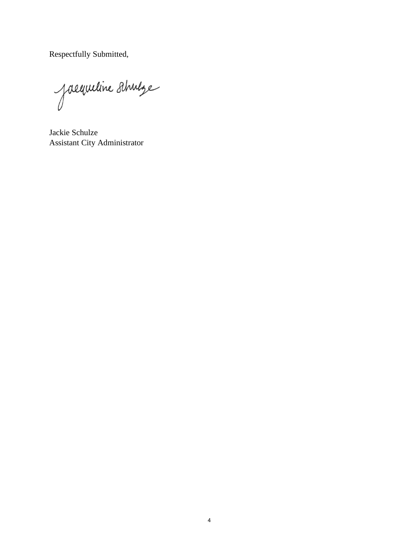Respectfully Submitted,

Jacqueline Ahnlye

Jackie Schulze Assistant City Administrator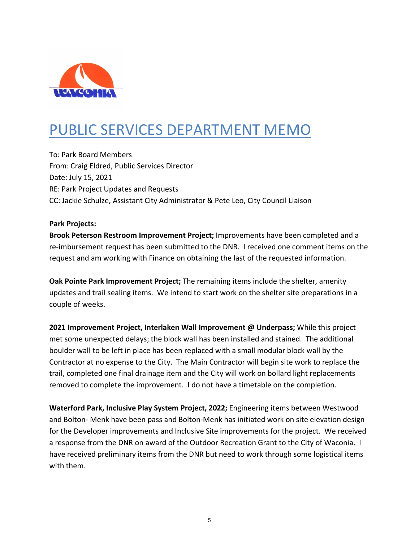

# PUBLIC SERVICES DEPARTMENT MEMO

To: Park Board Members From: Craig Eldred, Public Services Director Date: July 15, 2021 RE: Park Project Updates and Requests CC: Jackie Schulze, Assistant City Administrator & Pete Leo, City Council Liaison

#### **Park Projects:**

**Brook Peterson Restroom Improvement Project;** Improvements have been completed and a re-imbursement request has been submitted to the DNR. I received one comment items on the request and am working with Finance on obtaining the last of the requested information.

**Oak Pointe Park Improvement Project;** The remaining items include the shelter, amenity updates and trail sealing items. We intend to start work on the shelter site preparations in a couple of weeks.

**2021 Improvement Project, Interlaken Wall Improvement @ Underpass;** While this project met some unexpected delays; the block wall has been installed and stained. The additional boulder wall to be left in place has been replaced with a small modular block wall by the Contractor at no expense to the City. The Main Contractor will begin site work to replace the trail, completed one final drainage item and the City will work on bollard light replacements removed to complete the improvement. I do not have a timetable on the completion.

**Waterford Park, Inclusive Play System Project, 2022;** Engineering items between Westwood and Bolton- Menk have been pass and Bolton-Menk has initiated work on site elevation design for the Developer improvements and Inclusive Site improvements for the project. We received a response from the DNR on award of the Outdoor Recreation Grant to the City of Waconia. I have received preliminary items from the DNR but need to work through some logistical items with them.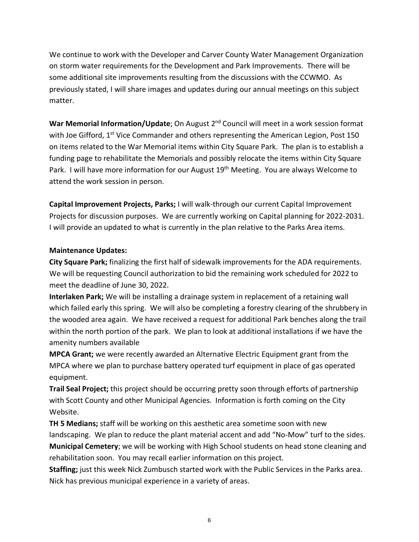We continue to work with the Developer and Carver County Water Management Organization on storm water requirements for the Development and Park Improvements. There will be some additional site improvements resulting from the discussions with the CCWMO. As previously stated, I will share images and updates during our annual meetings on this subject matter.

War Memorial Information/Update; On August 2<sup>nd</sup> Council will meet in a work session format with Joe Gifford, 1<sup>st</sup> Vice Commander and others representing the American Legion, Post 150 on items related to the War Memorial items within City Square Park. The plan is to establish a funding page to rehabilitate the Memorials and possibly relocate the items within City Square Park. I will have more information for our August 19<sup>th</sup> Meeting. You are always Welcome to attend the work session in person.

**Capital Improvement Projects, Parks;** I will walk-through our current Capital Improvement Projects for discussion purposes. We are currently working on Capital planning for 2022-2031. I will provide an updated to what is currently in the plan relative to the Parks Area items.

#### **Maintenance Updates:**

**City Square Park;** finalizing the first half of sidewalk improvements for the ADA requirements. We will be requesting Council authorization to bid the remaining work scheduled for 2022 to meet the deadline of June 30, 2022.

**Interlaken Park;** We will be installing a drainage system in replacement of a retaining wall which failed early this spring. We will also be completing a forestry clearing of the shrubbery in the wooded area again. We have received a request for additional Park benches along the trail within the north portion of the park. We plan to look at additional installations if we have the amenity numbers available

**MPCA Grant;** we were recently awarded an Alternative Electric Equipment grant from the MPCA where we plan to purchase battery operated turf equipment in place of gas operated equipment.

**Trail Seal Project;** this project should be occurring pretty soon through efforts of partnership with Scott County and other Municipal Agencies. Information is forth coming on the City Website.

**TH 5 Medians;** staff will be working on this aesthetic area sometime soon with new landscaping. We plan to reduce the plant material accent and add "No-Mow" turf to the sides. **Municipal Cemetery**; we will be working with High School students on head stone cleaning and rehabilitation soon. You may recall earlier information on this project.

**Staffing;** just this week Nick Zumbusch started work with the Public Services in the Parks area. Nick has previous municipal experience in a variety of areas.